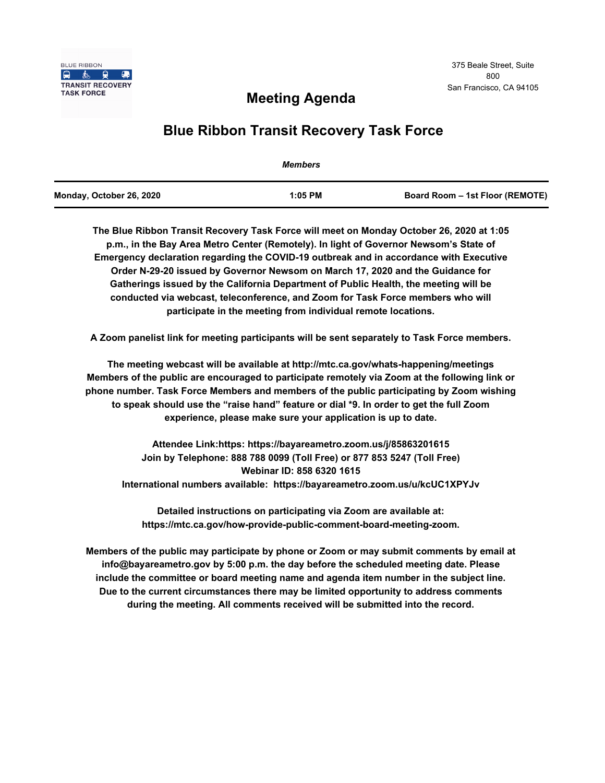

# **Meeting Agenda**

# **Blue Ribbon Transit Recovery Task Force**

|                          | <b>Members</b> |                                 |
|--------------------------|----------------|---------------------------------|
| Monday, October 26, 2020 | $1:05$ PM      | Board Room - 1st Floor (REMOTE) |

**The Blue Ribbon Transit Recovery Task Force will meet on Monday October 26, 2020 at 1:05 p.m., in the Bay Area Metro Center (Remotely). In light of Governor Newsom's State of Emergency declaration regarding the COVID-19 outbreak and in accordance with Executive Order N-29-20 issued by Governor Newsom on March 17, 2020 and the Guidance for Gatherings issued by the California Department of Public Health, the meeting will be conducted via webcast, teleconference, and Zoom for Task Force members who will participate in the meeting from individual remote locations.** 

**A Zoom panelist link for meeting participants will be sent separately to Task Force members.**

**The meeting webcast will be available at http://mtc.ca.gov/whats-happening/meetings Members of the public are encouraged to participate remotely via Zoom at the following link or phone number. Task Force Members and members of the public participating by Zoom wishing to speak should use the "raise hand" feature or dial \*9. In order to get the full Zoom experience, please make sure your application is up to date.**

**Attendee Link:https: https://bayareametro.zoom.us/j/85863201615 Join by Telephone: 888 788 0099 (Toll Free) or 877 853 5247 (Toll Free) Webinar ID: 858 6320 1615 International numbers available: https://bayareametro.zoom.us/u/kcUC1XPYJv**

**Detailed instructions on participating via Zoom are available at: https://mtc.ca.gov/how-provide-public-comment-board-meeting-zoom.**

**Members of the public may participate by phone or Zoom or may submit comments by email at info@bayareametro.gov by 5:00 p.m. the day before the scheduled meeting date. Please include the committee or board meeting name and agenda item number in the subject line. Due to the current circumstances there may be limited opportunity to address comments during the meeting. All comments received will be submitted into the record.**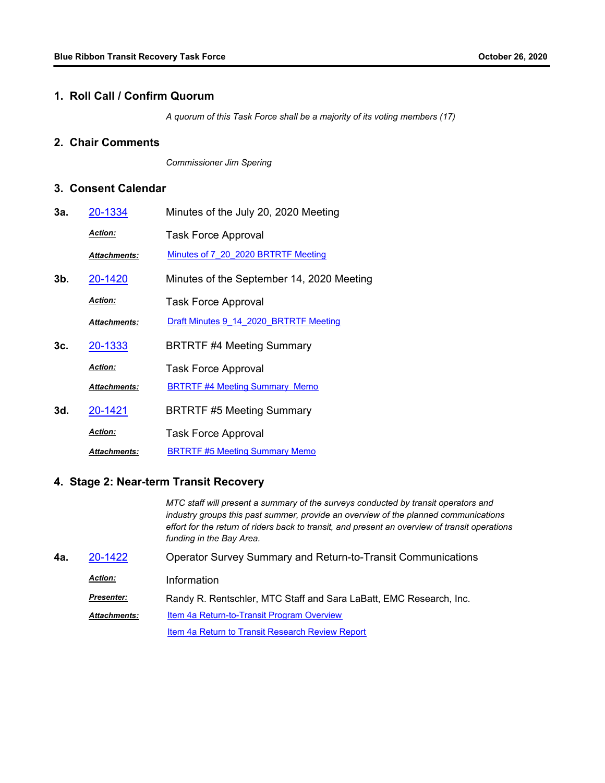## **1. Roll Call / Confirm Quorum**

*A quorum of this Task Force shall be a majority of its voting members (17)*

### **2. Chair Comments**

*Commissioner Jim Spering*

### **3. Consent Calendar**

| 3а. | <u>20-1334</u>      | Minutes of the July 20, 2020 Meeting      |
|-----|---------------------|-------------------------------------------|
|     | <u> Action:</u>     | <b>Task Force Approval</b>                |
|     | Attachments:        | Minutes of 7 20 2020 BRTRTF Meeting       |
| 3b. | 20-1420             | Minutes of the September 14, 2020 Meeting |
|     | <b>Action:</b>      | <b>Task Force Approval</b>                |
|     | Attachments:        | Draft Minutes 9 14 2020 BRTRTF Meeting    |
| 3с. | 20-1333             | <b>BRTRTF #4 Meeting Summary</b>          |
|     | <u> Action:</u>     | <b>Task Force Approval</b>                |
|     | <b>Attachments:</b> | <b>BRTRTF #4 Meeting Summary Memo</b>     |
| 3d. | 20-1421             | <b>BRTRTF #5 Meeting Summary</b>          |
|     | <u>Action:</u>      | <b>Task Force Approval</b>                |
|     | <b>Attachments:</b> | <b>BRTRTF #5 Meeting Summary Memo</b>     |

## **4. Stage 2: Near-term Transit Recovery**

*MTC staff will present a summary of the surveys conducted by transit operators and industry groups this past summer, provide an overview of the planned communications effort for the return of riders back to transit, and present an overview of transit operations funding in the Bay Area.*

| 4а. | 20-1422             | <b>Operator Survey Summary and Return-to-Transit Communications</b> |
|-----|---------------------|---------------------------------------------------------------------|
|     | <b>Action:</b>      | Information                                                         |
|     | <b>Presenter:</b>   | Randy R. Rentschler, MTC Staff and Sara LaBatt, EMC Research, Inc.  |
|     | <b>Attachments:</b> | <b>Item 4a Return-to-Transit Program Overview</b>                   |
|     |                     | Item 4a Return to Transit Research Review Report                    |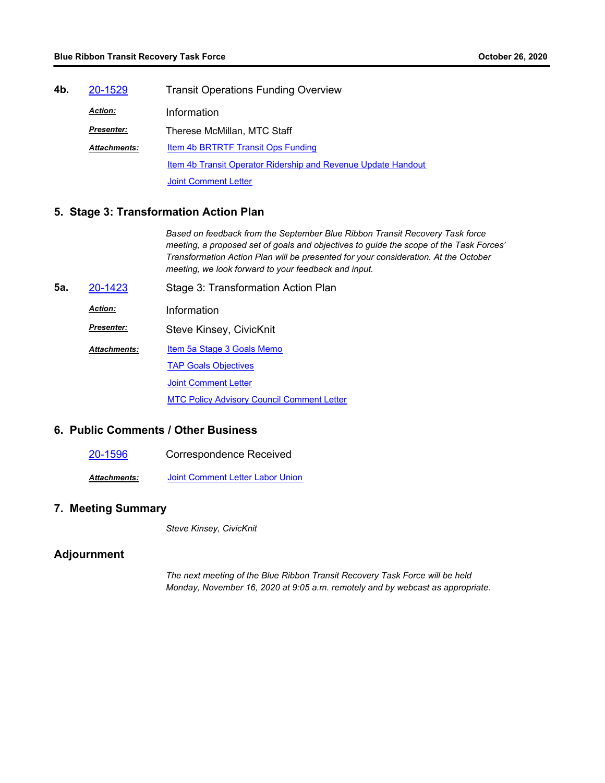| 4b. | 20-1529             | <b>Transit Operations Funding Overview</b>                    |  |
|-----|---------------------|---------------------------------------------------------------|--|
|     | <b>Action:</b>      | Information                                                   |  |
|     | <b>Presenter:</b>   | Therese McMillan, MTC Staff                                   |  |
|     | <b>Attachments:</b> | Item 4b BRTRTF Transit Ops Funding                            |  |
|     |                     | Item 4b Transit Operator Ridership and Revenue Update Handout |  |
|     |                     | <b>Joint Comment Letter</b>                                   |  |

### **5. Stage 3: Transformation Action Plan**

*Based on feedback from the September Blue Ribbon Transit Recovery Task force meeting, a proposed set of goals and objectives to guide the scope of the Task Forces' Transformation Action Plan will be presented for your consideration. At the October meeting, we look forward to your feedback and input.*

**5a.** [20-1423](http://mtc.legistar.com/gateway.aspx?m=l&id=/matter.aspx?key=21288) Stage 3: Transformation Action Plan *Action:* Information Steve Kinsey, CivicKnit *Presenter:* [Item 5a Stage 3 Goals Memo](http://mtc.legistar.com/gateway.aspx?M=F&ID=e520ac83-4971-4b54-b655-f644fc800111.pdf) **[TAP Goals Objectives](http://mtc.legistar.com/gateway.aspx?M=F&ID=6e89623f-1bb6-45a3-8668-61e153c254b6.pdf)** [Joint Comment Letter](http://mtc.legistar.com/gateway.aspx?M=F&ID=844f989b-0d95-4bda-808c-7114ec26c5ca.pdf) [MTC Policy Advisory Council Comment Letter](http://mtc.legistar.com/gateway.aspx?M=F&ID=d48f358f-77d3-4d8f-9ab7-b06f29f7f2b1.pdf) *Attachments:*

### **6. Public Comments / Other Business**

[20-1596](http://mtc.legistar.com/gateway.aspx?m=l&id=/matter.aspx?key=21461) Correspondence Received

*Attachments:* [Joint Comment Letter Labor Union](http://mtc.legistar.com/gateway.aspx?M=F&ID=0e20d083-cf8e-4530-b591-4246a6f93578.pdf)

### **7. Meeting Summary**

*Steve Kinsey, CivicKnit*

## **Adjournment**

*The next meeting of the Blue Ribbon Transit Recovery Task Force will be held Monday, November 16, 2020 at 9:05 a.m. remotely and by webcast as appropriate.*